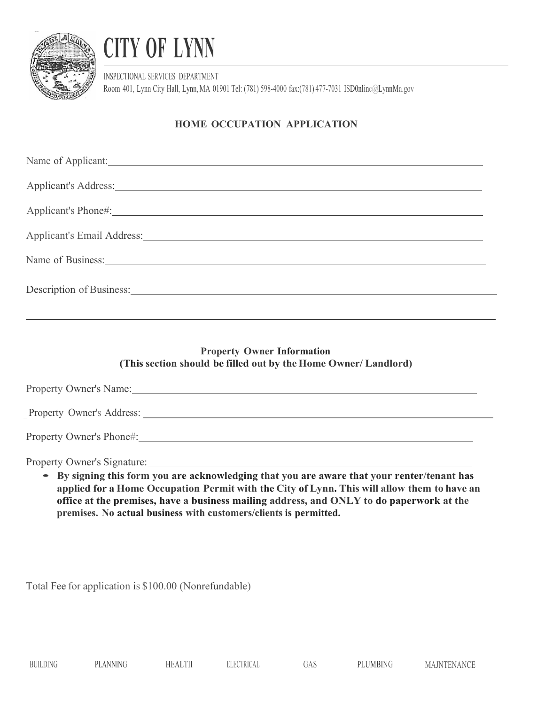

## CITY OF LYNN

INSPECTIONAL SERVICES DEPARTMENT Room 401, Lynn City Hall, Lynn, MA 01901 Tel: (781) 598-4000 fax:(781) 477-7031 ISD0nlinc@LynnMa.gov

## HOME OCCUPATION APPLICATION

| Name of Applicant:                                                                                                                                                                                                             |
|--------------------------------------------------------------------------------------------------------------------------------------------------------------------------------------------------------------------------------|
|                                                                                                                                                                                                                                |
|                                                                                                                                                                                                                                |
| Applicant's Email Address: Note and American control of the state of the state of the state of the state of the state of the state of the state of the state of the state of the state of the state of the state of the state  |
| Name of Business: 1988. The Manual School of Business: 1988. The Manual School of Business: 1989. The Manual School of Business: 1989. The Manual School of Business: 1989. The Manual School of Business: 1989. The Manual Sc |
|                                                                                                                                                                                                                                |
| ,我们也不会有什么。""我们的人,我们也不会有什么?""我们的人,我们也不会有什么?""我们的人,我们也不会有什么?""我们的人,我们也不会有什么?""我们的人                                                                                                                                               |
| <b>Property Owner Information</b><br>(This section should be filled out by the Home Owner/ Landlord)                                                                                                                           |
| Property Owner's Name: 1988 Contract Contract Contract Contract Contract Contract Contract Contract Contract Contract Contract Contract Contract Contract Contract Contract Contract Contract Contract Contract Contract Contr |
|                                                                                                                                                                                                                                |
|                                                                                                                                                                                                                                |
| Property Owner's Signature:                                                                                                                                                                                                    |

By signing this form you are acknowledging that you are aware that your renter/tenant has applied for a Home Occupation Permit with the City of Lynn. This will allow them to have an office at the premises, have a business mailing address, and ONLY to do paperwork at the premises. No actual business with customers/clients is permitted.

Total Fee for application is \$100.00 (Nonrefundable)